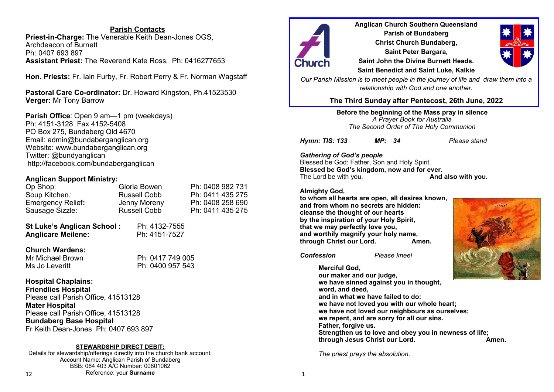# **Parish Contacts**

**Priest-in-Charge:** The Venerable Keith Dean-Jones OGS, Archdeacon of Burnett Ph: 0407 693 897 **Assistant Priest:** The Reverend Kate Ross, Ph: 0416277653

**Hon. Priests:** Fr. Iain Furby, Fr. Robert Perry & Fr. Norman Wagstaff

**Pastoral Care Co-ordinator:** Dr. Howard Kingston, Ph.41523530 **Verger:** Mr Tony Barrow

**Parish Office**: Open 9 am—1 pm (weekdays) Ph: 4151-3128 Fax 4152-5408

PO Box 275, Bundaberg Qld 4670 Email: admin@bundaberganglican.org Website: www.bundaberganglican.org Twitter: @bundyanglican http://facebook.com/bundaberganglican

# **Anglican Support Ministry:**

| Op Shop:                 | Gloria Bowen        | Ph: 0408 982 731 |
|--------------------------|---------------------|------------------|
| Soup Kitchen:            | Russell Cobb        | Ph: 0411 435 275 |
| <b>Emergency Relief:</b> | Jenny Moreny        | Ph: 0408 258 690 |
| Sausage Sizzle:          | <b>Russell Cobb</b> | Ph: 0411 435 275 |
|                          |                     |                  |

**St Luke's Anglican School :** Ph: 4132-7555 **Anglicare Meilene:** Ph: 4151-7527

# **Church Wardens:**

| Mr Michael Brown | Ph: 0417 749 005 |
|------------------|------------------|
| Ms Jo Leveritt   | Ph: 0400 957 543 |

# **Hospital Chaplains:**

**Friendlies Hospital**  Please call Parish Office, 41513128 **Mater Hospital**  Please call Parish Office, 41513128 **Bundaberg Base Hospital**  Fr Keith Dean-Jones Ph: 0407 693 897

#### **STEWARDSHIP DIRECT DEBIT:**

Details for stewardship/offerings directly into the church bank account: Account Name: Anglican Parish of Bundaberg BSB: 064 403 A/C Number: 00801062 Reference: your **Surname** 1



**Anglican Church Southern Queensland Parish of Bundaberg Christ Church Bundaberg, Saint Peter Bargara, Saint John the Divine Burnett Heads. Saint Benedict and Saint Luke, Kalkie**



*Our Parish Mission is to meet people in the journey of life and draw them into a relationship with God and one another.* 

# **The Third Sunday after Pentecost, 26th June, 2022**

**Before the beginning of the Mass pray in silence** *A Prayer Book for Australia The Second Order of The Holy Communion*

*Hymn: TIS: 133 MP: 34 Please stand*

*Gathering of God's people*

Blessed be God: Father, Son and Holy Spirit. **Blessed be God's kingdom, now and for ever.** The Lord be with you. **And also with you.**

### **Almighty God,**

**to whom all hearts are open, all desires known, and from whom no secrets are hidden: cleanse the thought of our hearts by the inspiration of your Holy Spirit, that we may perfectly love you, and worthily magnify your holy name, through Christ our Lord. Amen.**



*Confession Please kneel*

**Merciful God, our maker and our judge, we have sinned against you in thought, word, and deed, and in what we have failed to do: we have not loved you with our whole heart; we have not loved our neighbours as ourselves; we repent, and are sorry for all our sins. Father, forgive us. Strengthen us to love and obey you in newness of life; through Jesus Christ our Lord. Amen. Amen.** 

*The priest prays the absolution.*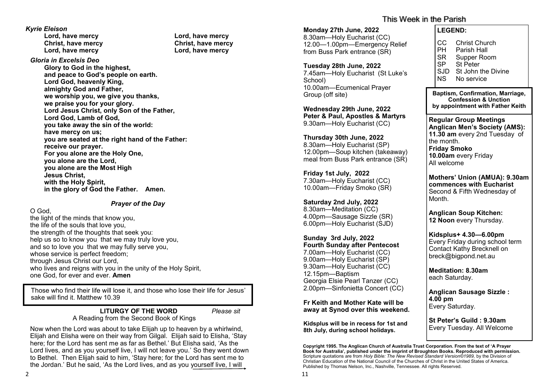*Kyrie Eleison*

**Lord, have mercy Lord, have mercy Christ, have mercy Christ, have mercy Lord, have mercy Lord, have mercy**

*Gloria in Excelsis Deo*

**Glory to God in the highest, and peace to God's people on earth. Lord God, heavenly King, almighty God and Father, we worship you, we give you thanks, we praise you for your glory. Lord Jesus Christ, only Son of the Father, Lord God, Lamb of God, you take away the sin of the world: have mercy on us; you are seated at the right hand of the Father: receive our prayer. For you alone are the Holy One, you alone are the Lord, you alone are the Most High Jesus Christ, with the Holy Spirit, in the glory of God the Father. Amen.**

*Prayer of the Day*

O God,

the light of the minds that know you, the life of the souls that love you, the strength of the thoughts that seek you: help us so to know you that we may truly love you, and so to love you that we may fully serve you, whose service is perfect freedom; through Jesus Christ our Lord, who lives and reigns with you in the unity of the Holy Spirit, one God, for ever and ever. **Amen**

Those who find their life will lose it, and those who lose their life for Jesus' sake will find it. Matthew 10.39

> **LITURGY OF THE WORD** *Please sit* A Reading from the Second Book of Kings

Now when the Lord was about to take Elijah up to heaven by a whirlwind, Elijah and Elisha were on their way from Gilgal. Elijah said to Elisha, 'Stay here; for the Lord has sent me as far as Bethel.' But Elisha said, 'As the Lord lives, and as you yourself live, I will not leave you.' So they went down to Bethel. Then Elijah said to him, 'Stay here; for the Lord has sent me to the Jordan.' But he said, 'As the Lord lives, and as you yourself live, I will

# **Monday 27th June, 2022** 8.30am—Holy Eucharist (CC)

12.00—1.00pm—Emergency Relief from Buss Park entrance (SR)

**Tuesday 28th June, 2022** 7.45am—Holy Eucharist (St Luke's School) 10.00am—Ecumenical Prayer Group (off site)

**Wednesday 29th June, 2022 Peter & Paul, Apostles & Martyrs** 9.30am—Holy Eucharist (CC)

**Thursday 30th June, 2022** 8.30am—Holy Eucharist (SP) 12.00pm—Soup kitchen (takeaway) meal from Buss Park entrance (SR)

**Friday 1st July, 2022** 7.30am—Holy Eucharist (CC) 10.00am—Friday Smoko (SR)

**Saturday 2nd July, 2022** 8.30am—Meditation (CC) 4.00pm—Sausage Sizzle (SR) 6.00pm—Holy Eucharist (SJD)

**Sunday 3rd July, 2022 Fourth Sunday after Pentecost** 7.00am—Holy Eucharist (CC) 9.00am—Holy Eucharist (SP) 9.30am—Holy Eucharist (CC) 12.15pm—Baptism Georgia Elsie Pearl Tanzer (CC) 2.00pm—Sinfonietta Concert (CC)

**Fr Keith and Mother Kate will be away at Synod over this weekend.**

**Kidsplus will be in recess for 1st and 8th July, during school holidays.**

# This Week in the Parish

**LEGEND:**

- CC Christ Church<br>PH Parish Hall
- PH Parish Hall<br>SR Supper Roo
- Supper Room
- SP St Peter
- SJD St John the Divine
- NS No service

**Baptism, Confirmation, Marriage, Confession & Unction by appointment with Father Keith**

**Regular Group Meetings Anglican Men's Society (AMS): 11.30 am** every 2nd Tuesday of the month. **Friday Smoko 10.00am** every Friday All welcome

**Mothers' Union (AMUA): 9.30am commences with Eucharist**  Second & Fifth Wednesday of Month.

**Anglican Soup Kitchen: 12 Noon** every Thursday.

**Kidsplus+ 4.30—6.00pm**  Every Friday during school term Contact Kathy Brecknell on breck@bigpond.net.au

**Meditation: 8.30am**  each Saturday.

**Anglican Sausage Sizzle : 4.00 pm** Every Saturday.

**St Peter's Guild : 9.30am** Every Tuesday. All Welcome

**Copyright 1995. The Anglican Church of Australia Trust Corporation. From the text of 'A Prayer Book for Australia', published under the imprint of Broughton Books. Reproduced with permission.**  Scripture quotations are from *Holy Bible: The New Revised Standard Version©1989,* by the Division of Christian Education of the National Council of the Churches of Christ in the United States of America. Published by Thomas Nelson, Inc., Nashville, Tennessee. All rights Reserved.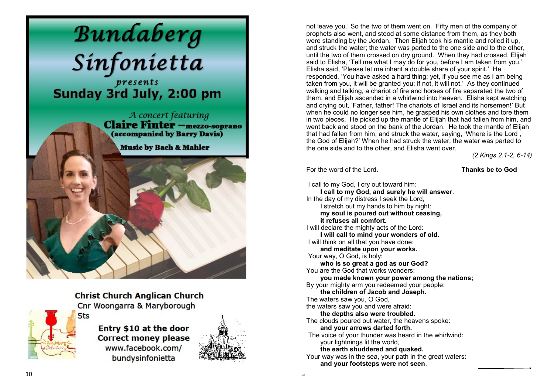

**Christ Church Anglican Church** Cnr Woongarra & Maryborough



Entry \$10 at the door **Correct money please** www.facebook.com/ bundysinfonietta



not leave you.' So the two of them went on. Fifty men of the company of prophets also went, and stood at some distance from them, as they both were standing by the Jordan. Then Elijah took his mantle and rolled it up, and struck the water; the water was parted to the one side and to the other, until the two of them crossed on dry ground. When they had crossed, Elijah said to Elisha, 'Tell me what I may do for you, before I am taken from you.' Elisha said, 'Please let me inherit a double share of your spirit.' He responded, 'You have asked a hard thing; yet, if you see me as I am being taken from you, it will be granted you; if not, it will not.' As they continued walking and talking, a chariot of fire and horses of fire separated the two of them, and Elijah ascended in a whirlwind into heaven. Elisha kept watching and crying out, 'Father, father! The chariots of Israel and its horsemen!' But when he could no longer see him, he grasped his own clothes and tore them in two pieces. He picked up the mantle of Elijah that had fallen from him, and went back and stood on the bank of the Jordan. He took the mantle of Elijah that had fallen from him, and struck the water, saying, 'Where is the Lord , the God of Elijah?' When he had struck the water, the water was parted to the one side and to the other, and Elisha went over.

*(2 Kings 2.1 -2, 6 -14)* 

For the word of the Lord. **Thanks be to God**

3

I call to my God, I cry out toward him: **I call to my God, and surely he will answer**. In the day of my distress I seek the Lord, I stretch out my hands to him by night: **my soul is poured out without ceasing, it refuses all comfort.** I will declare the mighty acts of the Lord: **I will call to mind your wonders of old.** I will think on all that you have done: **and meditate upon your works.** Your way, O God, is holy: **who is so great a god as our God?** You are the God that works wonders: **you made known your power among the nations;** By your mighty arm you redeemed your people: **the children of Jacob and Joseph.** The waters saw you, O God, the waters saw you and were afraid: **the depths also were troubled.** The clouds poured out water, the heavens spoke: **and your arrows darted forth.** The voice of your thunder was heard in the whirlwind: your lightnings lit the world, **the earth shuddered and quaked.** Your way was in the sea, your path in the great waters: **and your footsteps were not seen**.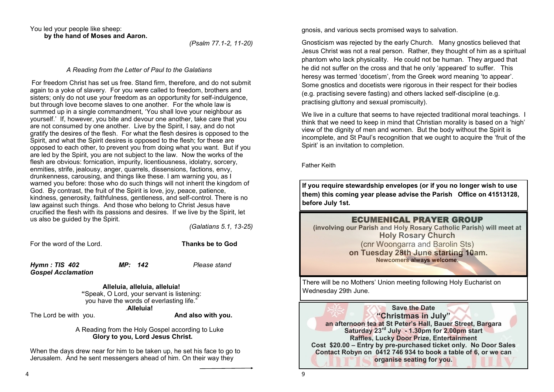# You led your people like sheep: **by the hand of Moses and Aaron.**

*(Psalm 77.1-2, 11-20)*

#### *A Reading from the Letter of Paul to the Galatians*

For freedom Christ has set us free. Stand firm, therefore, and do not submit again to a yoke of slavery. For you were called to freedom, brothers and sisters; only do not use your freedom as an opportunity for self-indulgence, but through love become slaves to one another. For the whole law is summed up in a single commandment, 'You shall love your neighbour as yourself.' If, however, you bite and devour one another, take care that you are not consumed by one another. Live by the Spirit, I say, and do not gratify the desires of the flesh. For what the flesh desires is opposed to the Spirit, and what the Spirit desires is opposed to the flesh; for these are opposed to each other, to prevent you from doing what you want. But if you are led by the Spirit, you are not subject to the law. Now the works of the flesh are obvious: fornication, impurity, licentiousness, idolatry, sorcery, enmities, strife, jealousy, anger, quarrels, dissensions, factions, envy, drunkenness, carousing, and things like these. I am warning you, as I warned you before: those who do such things will not inherit the kingdom of God. By contrast, the fruit of the Spirit is love, joy, peace, patience, kindness, generosity, faithfulness, gentleness, and self-control. There is no law against such things. And those who belong to Christ Jesus have crucified the flesh with its passions and desires. If we live by the Spirit, let us also be guided by the Spirit.

*(Galatians 5.1, 13-25)*

For the word of the Lord. **Thanks be to God**

*Hymn : TIS 402 MP: 142 Please stand Gospel Acclamation* 

**Alleluia, alleluia, alleluia! "**Speak, O Lord, your servant is listening: you have the words of everlasting life." .**Alleluia!** 

The Lord be with you. **And also with you.**

A Reading from the Holy Gospel according to Luke **Glory to you, Lord Jesus Christ.**

When the days drew near for him to be taken up, he set his face to go to Jerusalem. And he sent messengers ahead of him. On their way they

gnosis, and various sects promised ways to salvation.

Gnosticism was rejected by the early Church. Many gnostics believed that Jesus Christ was not a real person. Rather, they thought of him as a spiritual phantom who lack physicality. He could not be human. They argued that he did not suffer on the cross and that he only 'appeared' to suffer. This heresy was termed 'docetism', from the Greek word meaning 'to appear'. Some gnostics and docetists were rigorous in their respect for their bodies (e.g. practising severe fasting) and others lacked self-discipline (e.g. practising gluttony and sexual promiscuity).

We live in a culture that seems to have rejected traditional moral teachings. I think that we need to keep in mind that Christian morality is based on a 'high' view of the dignity of men and women. But the body without the Spirit is incomplete, and St Paul's recognition that we ought to acquire the 'fruit of the Spirit' is an invitation to completion.

Father Keith

**If you require stewardship envelopes (or if you no longer wish to use them) this coming year please advise the Parish Office on 41513128, before July 1st.** 

# ECUMENICAL PRAYER GROUP

**(involving our Parish and Holy Rosary Catholic Parish) will meet at Holy Rosary Church** (cnr Woongarra and Barolin Sts) **on Tuesday 28th June starting 10am. Newcomers always welcome.**

There will be no Mothers' Union meeting following Holy Eucharist on Wednesday 29th June.

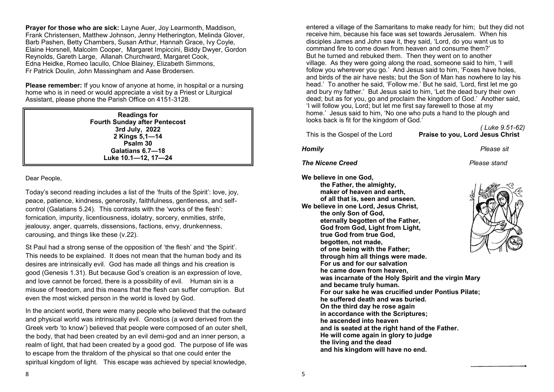**Prayer for those who are sick:** Layne Auer, Joy Learmonth, Maddison, Frank Christensen, Matthew Johnson, Jenny Hetherington, Melinda Glover, Barb Pashen, Betty Chambers, Susan Arthur, Hannah Grace, Ivy Coyle, Elaine Horsnell, Malcolm Cooper, Margaret Impiccini, Biddy Dwyer, Gordon Reynolds, Gareth Large, Allanah Churchward, Margaret Cook, Edna Heidke, Romeo Iacullo, Chloe Blainey, Elizabeth Simmons, Fr Patrick Doulin, John Massingham and Aase Brodersen.

**Please remember:** If you know of anyone at home, in hospital or a nursing home who is in need or would appreciate a visit by a Priest or Liturgical Assistant, please phone the Parish Office on 4151-3128.

> **Readings for Fourth Sunday after Pentecost 3rd July, 2022 2 Kings 5,1—14 Psalm 30 Galatians 6.7—18 Luke 10.1—12, 17—24**

Dear People,

Today's second reading includes a list of the 'fruits of the Spirit': love, joy, peace, patience, kindness, generosity, faithfulness, gentleness, and selfcontrol (Galatians 5.24). This contrasts with the 'works of the flesh': fornication, impurity, licentiousness, idolatry, sorcery, enmities, strife, jealousy, anger, quarrels, dissensions, factions, envy, drunkenness, carousing, and things like these (v.22).

St Paul had a strong sense of the opposition of 'the flesh' and 'the Spirit'. This needs to be explained. It does not mean that the human body and its desires are intrinsically evil. God has made all things and his creation is good (Genesis 1.31). But because God's creation is an expression of love, and love cannot be forced, there is a possibility of evil. Human sin is a misuse of freedom, and this means that the flesh can suffer corruption. But even the most wicked person in the world is loved by God.

In the ancient world, there were many people who believed that the outward and physical world was intrinsically evil. Gnostics (a word derived from the Greek verb 'to know') believed that people were composed of an outer shell, the body, that had been created by an evil demi-god and an inner person, a realm of light, that had been created by a good god. The purpose of life was to escape from the thraldom of the physical so that one could enter the spiritual kingdom of light. This escape was achieved by special knowledge,

entered a village of the Samaritans to make ready for him; but they did not receive him, because his face was set towards Jerusalem. When his disciples James and John saw it, they said, 'Lord, do you want us to command fire to come down from heaven and consume them?' But he turned and rebuked them. Then they went on to another village. As they were going along the road, someone said to him, 'I will follow you wherever you go.' And Jesus said to him, 'Foxes have holes, and birds of the air have nests; but the Son of Man has nowhere to lay his head.' To another he said, 'Follow me.' But he said, 'Lord, first let me go and bury my father.' But Jesus said to him, 'Let the dead bury their own dead; but as for you, go and proclaim the kingdom of God.' Another said, 'I will follow you, Lord; but let me first say farewell to those at my home.' Jesus said to him, 'No one who puts a hand to the plough and looks back is fit for the kingdom of God.'

*( Luke 9.51-62)*  This is the Gospel of the Lord **Praise to you, Lord Jesus Christ**

*Homily**Please sit*

*The Nicene Creed Please stand*

**We believe in one God,** 

**the Father, the almighty, maker of heaven and earth, of all that is, seen and unseen. We believe in one Lord, Jesus Christ, the only Son of God, eternally begotten of the Father, God from God, Light from Light, true God from true God, begotten, not made, of one being with the Father; through him all things were made. For us and for our salvation he came down from heaven, was incarnate of the Holy Spirit and the virgin Mary and became truly human. For our sake he was crucified under Pontius Pilate; he suffered death and was buried. On the third day he rose again in accordance with the Scriptures; he ascended into heaven and is seated at the right hand of the Father. He will come again in glory to judge the living and the dead and his kingdom will have no end.**